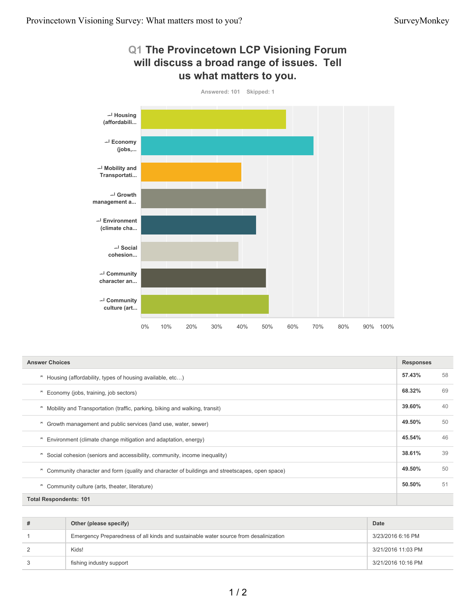

| <b>Answer Choices</b>                                                                               |        |    |
|-----------------------------------------------------------------------------------------------------|--------|----|
| Housing (affordability, types of housing available, etc)<br>ᄎ                                       | 57.43% | 58 |
| Economy (jobs, training, job sectors)                                                               | 68.32% | 69 |
| Mobility and Transportation (traffic, parking, biking and walking, transit)<br>ᄎ                    | 39.60% | 40 |
| Growth management and public services (land use, water, sewer)<br>ᄎ                                 | 49.50% | 50 |
| Environment (climate change mitigation and adaptation, energy)<br>ᄎ                                 | 45.54% | 46 |
| Social cohesion (seniors and accessibility, community, income inequality)<br>ᄎ                      | 38.61% | 39 |
| Community character and form (quality and character of buildings and streetscapes, open space)<br>ᄎ | 49.50% | 50 |
| ᄎ<br>Community culture (arts, theater, literature)                                                  | 50.50% | 51 |
| <b>Total Respondents: 101</b>                                                                       |        |    |

| # | Other (please specify)                                                               | Date               |
|---|--------------------------------------------------------------------------------------|--------------------|
|   | Emergency Preparedness of all kinds and sustainable water source from desalinization | 3/23/2016 6:16 PM  |
|   | Kids!                                                                                | 3/21/2016 11:03 PM |
|   | fishing industry support                                                             | 3/21/2016 10:16 PM |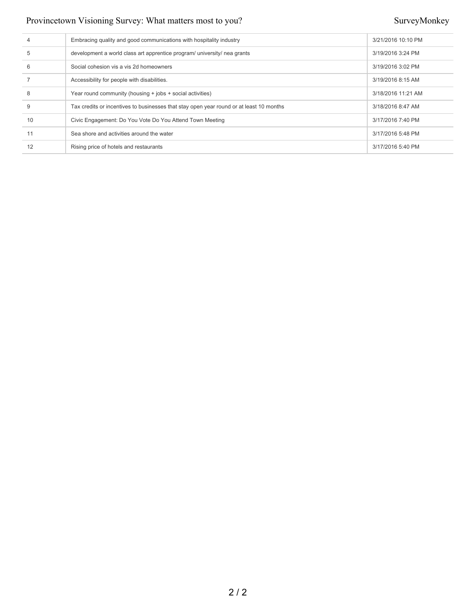| 4  | Embracing quality and good communications with hospitality industry                     | 3/21/2016 10:10 PM |
|----|-----------------------------------------------------------------------------------------|--------------------|
| 5  | development a world class art apprentice program/ university/ nea grants                | 3/19/2016 3:24 PM  |
| 6  | Social cohesion vis a vis 2d homeowners                                                 | 3/19/2016 3:02 PM  |
|    | Accessibility for people with disabilities.                                             | 3/19/2016 8:15 AM  |
| 8  | Year round community (housing + jobs + social activities)                               | 3/18/2016 11:21 AM |
| 9  | Tax credits or incentives to businesses that stay open year round or at least 10 months | 3/18/2016 8:47 AM  |
| 10 | Civic Engagement: Do You Vote Do You Attend Town Meeting                                | 3/17/2016 7:40 PM  |
|    | Sea shore and activities around the water                                               | 3/17/2016 5:48 PM  |
|    | Rising price of hotels and restaurants                                                  | 3/17/2016 5:40 PM  |
|    |                                                                                         |                    |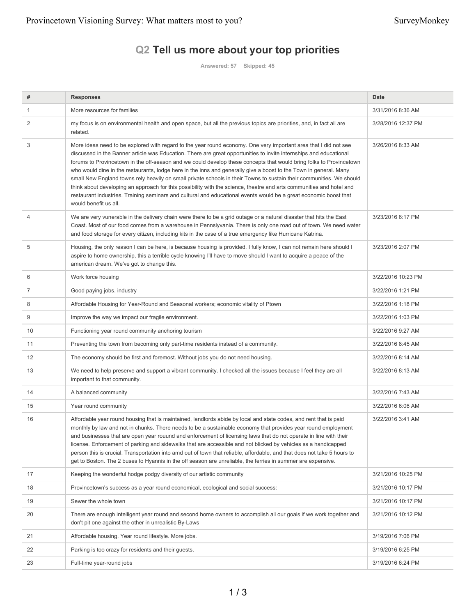## **Q2 Tell us more about your top priorities**

**Answered: 57 Skipped: 45**

| #              | <b>Responses</b>                                                                                                                                                                                                                                                                                                                                                                                                                                                                                                                                                                                                                                                                                                                                                                                                                                                                 | Date               |
|----------------|----------------------------------------------------------------------------------------------------------------------------------------------------------------------------------------------------------------------------------------------------------------------------------------------------------------------------------------------------------------------------------------------------------------------------------------------------------------------------------------------------------------------------------------------------------------------------------------------------------------------------------------------------------------------------------------------------------------------------------------------------------------------------------------------------------------------------------------------------------------------------------|--------------------|
| $\mathbf{1}$   | More resources for families                                                                                                                                                                                                                                                                                                                                                                                                                                                                                                                                                                                                                                                                                                                                                                                                                                                      | 3/31/2016 8:36 AM  |
| 2              | my focus is on environmental health and open space, but all the previous topics are priorities, and, in fact all are<br>related.                                                                                                                                                                                                                                                                                                                                                                                                                                                                                                                                                                                                                                                                                                                                                 | 3/28/2016 12:37 PM |
| 3              | More ideas need to be explored with regard to the year round economy. One very important area that I did not see<br>discussed in the Banner article was Education. There are great opportunities to invite internships and educational<br>forums to Provincetown in the off-season and we could develop these concepts that would bring folks to Provincetown<br>who would dine in the restaurants, lodge here in the inns and generally give a boost to the Town in general. Many<br>small New England towns rely heavily on small private schools in their Towns to sustain their communities. We should<br>think about developing an approach for this possibility with the science, theatre and arts communities and hotel and<br>restaurant industries. Training seminars and cultural and educational events would be a great economic boost that<br>would benefit us all. | 3/26/2016 8:33 AM  |
| $\overline{4}$ | We are very vunerable in the delivery chain were there to be a grid outage or a natural disaster that hits the East<br>Coast. Most of our food comes from a warehouse in Pennslyvania. There is only one road out of town. We need water<br>and food storage for every citizen, including kits in the case of a true emergency like Hurricane Katrina.                                                                                                                                                                                                                                                                                                                                                                                                                                                                                                                           | 3/23/2016 6:17 PM  |
| 5              | Housing, the only reason I can be here, is because housing is provided. I fully know, I can not remain here should I<br>aspire to home ownership, this a terrible cycle knowing I'll have to move should I want to acquire a peace of the<br>american dream. We've got to change this.                                                                                                                                                                                                                                                                                                                                                                                                                                                                                                                                                                                           | 3/23/2016 2:07 PM  |
| 6              | Work force housing                                                                                                                                                                                                                                                                                                                                                                                                                                                                                                                                                                                                                                                                                                                                                                                                                                                               | 3/22/2016 10:23 PM |
| 7              | Good paying jobs, industry                                                                                                                                                                                                                                                                                                                                                                                                                                                                                                                                                                                                                                                                                                                                                                                                                                                       | 3/22/2016 1:21 PM  |
| 8              | Affordable Housing for Year-Round and Seasonal workers; economic vitality of Ptown                                                                                                                                                                                                                                                                                                                                                                                                                                                                                                                                                                                                                                                                                                                                                                                               | 3/22/2016 1:18 PM  |
| 9              | Improve the way we impact our fragile environment.                                                                                                                                                                                                                                                                                                                                                                                                                                                                                                                                                                                                                                                                                                                                                                                                                               | 3/22/2016 1:03 PM  |
| 10             | Functioning year round community anchoring tourism                                                                                                                                                                                                                                                                                                                                                                                                                                                                                                                                                                                                                                                                                                                                                                                                                               | 3/22/2016 9:27 AM  |
| 11             | Preventing the town from becoming only part-time residents instead of a community.                                                                                                                                                                                                                                                                                                                                                                                                                                                                                                                                                                                                                                                                                                                                                                                               | 3/22/2016 8:45 AM  |
| 12             | The economy should be first and foremost. Without jobs you do not need housing.                                                                                                                                                                                                                                                                                                                                                                                                                                                                                                                                                                                                                                                                                                                                                                                                  | 3/22/2016 8:14 AM  |
| 13             | We need to help preserve and support a vibrant community. I checked all the issues because I feel they are all<br>important to that community.                                                                                                                                                                                                                                                                                                                                                                                                                                                                                                                                                                                                                                                                                                                                   | 3/22/2016 8:13 AM  |
| 14             | A balanced community                                                                                                                                                                                                                                                                                                                                                                                                                                                                                                                                                                                                                                                                                                                                                                                                                                                             | 3/22/2016 7:43 AM  |
| 15             | Year round community                                                                                                                                                                                                                                                                                                                                                                                                                                                                                                                                                                                                                                                                                                                                                                                                                                                             | 3/22/2016 6:06 AM  |
| 16             | Affordable year round housing that is maintained, landlords abide by local and state codes, and rent that is paid<br>monthly by law and not in chunks. There needs to be a sustainable economy that provides year round employment<br>and businesses that are open year rouund and enforcement of licensing laws that do not operate in line with their<br>license. Enforcement of parking and sidewalks that are accessible and not blicked by vehicles ss a handicapped<br>person this is crucial. Transportation into amd out of town that reliable, affordable, and that does not take 5 hours to<br>get to Boston. The 2 buses to Hyannis in the off season are unreliable, the ferries in summer are expensive.                                                                                                                                                            | 3/22/2016 3:41 AM  |
| 17             | Keeping the wonderful hodge podgy diversity of our artistic community                                                                                                                                                                                                                                                                                                                                                                                                                                                                                                                                                                                                                                                                                                                                                                                                            | 3/21/2016 10:25 PM |
| 18             | Provincetown's success as a year round economical, ecological and social success:                                                                                                                                                                                                                                                                                                                                                                                                                                                                                                                                                                                                                                                                                                                                                                                                | 3/21/2016 10:17 PM |
| 19             | Sewer the whole town                                                                                                                                                                                                                                                                                                                                                                                                                                                                                                                                                                                                                                                                                                                                                                                                                                                             | 3/21/2016 10:17 PM |
| 20             | There are enough intelligent year round and second home owners to accomplish all our goals if we work together and<br>don't pit one against the other in unrealistic By-Laws                                                                                                                                                                                                                                                                                                                                                                                                                                                                                                                                                                                                                                                                                                     | 3/21/2016 10:12 PM |
| 21             | Affordable housing. Year round lifestyle. More jobs.                                                                                                                                                                                                                                                                                                                                                                                                                                                                                                                                                                                                                                                                                                                                                                                                                             | 3/19/2016 7:06 PM  |
| 22             | Parking is too crazy for residents and their guests.                                                                                                                                                                                                                                                                                                                                                                                                                                                                                                                                                                                                                                                                                                                                                                                                                             | 3/19/2016 6:25 PM  |
| 23             | Full-time year-round jobs                                                                                                                                                                                                                                                                                                                                                                                                                                                                                                                                                                                                                                                                                                                                                                                                                                                        | 3/19/2016 6:24 PM  |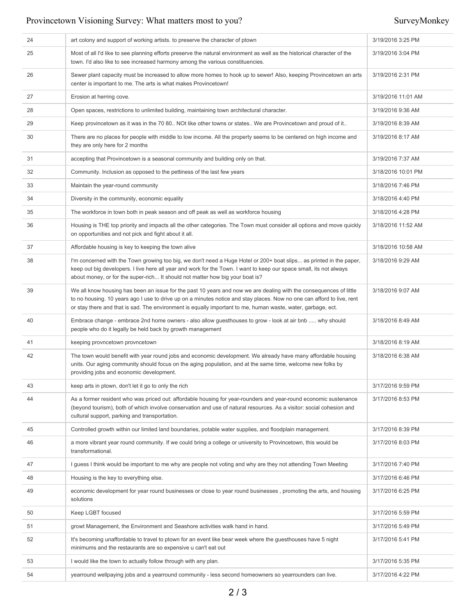| 24 | art colony and support of working artists, to preserve the character of ptown                                                                                                                                                                                                                                                                                | 3/19/2016 3:25 PM  |
|----|--------------------------------------------------------------------------------------------------------------------------------------------------------------------------------------------------------------------------------------------------------------------------------------------------------------------------------------------------------------|--------------------|
| 25 | Most of all I'd like to see planning efforts preserve the natural environment as well as the historical character of the<br>town. I'd also like to see increased harmony among the various constituencies.                                                                                                                                                   | 3/19/2016 3:04 PM  |
| 26 | Sewer plant capacity must be increased to allow more homes to hook up to sewer! Also, keeping Provincetown an arts<br>center is important to me. The arts is what makes Provincetown!                                                                                                                                                                        | 3/19/2016 2:31 PM  |
| 27 | Erosion at herring cove.                                                                                                                                                                                                                                                                                                                                     | 3/19/2016 11:01 AM |
| 28 | Open spaces, restrictions to unlimited building, maintaining town architectural character.                                                                                                                                                                                                                                                                   | 3/19/2016 9:36 AM  |
| 29 | Keep provincetown as it was in the 70 80 NOt like other towns or states We are Provincetown and proud of it                                                                                                                                                                                                                                                  | 3/19/2016 8:39 AM  |
| 30 | There are no places for people with middle to low income. All the property seems to be centered on high income and<br>they are only here for 2 months                                                                                                                                                                                                        | 3/19/2016 8:17 AM  |
| 31 | accepting that Provincetown is a seasonal community and building only on that.                                                                                                                                                                                                                                                                               | 3/19/2016 7:37 AM  |
| 32 | Community. Inclusion as opposed to the pettiness of the last few years                                                                                                                                                                                                                                                                                       | 3/18/2016 10:01 PM |
| 33 | Maintain the year-round community                                                                                                                                                                                                                                                                                                                            | 3/18/2016 7:46 PM  |
| 34 | Diversity in the community, economic equality                                                                                                                                                                                                                                                                                                                | 3/18/2016 4:40 PM  |
| 35 | The workforce in town both in peak season and off peak as well as workforce housing                                                                                                                                                                                                                                                                          | 3/18/2016 4:28 PM  |
| 36 | Housing is THE top priority and impacts all the other categories. The Town must consider all options and move quickly<br>on opportunities and not pick and fight about it all.                                                                                                                                                                               | 3/18/2016 11:52 AM |
| 37 | Affordable housing is key to keeping the town alive                                                                                                                                                                                                                                                                                                          | 3/18/2016 10:58 AM |
| 38 | I'm concerned with the Town growing too big, we don't need a Huge Hotel or 200+ boat slips as printed in the paper,<br>keep out big developers. I live here all year and work for the Town. I want to keep our space small, its not always<br>about money, or for the super-rich It should not matter how big your boat is?                                  | 3/18/2016 9:29 AM  |
| 39 | We all know housing has been an issue for the past 10 years and now we are dealing with the consequences of little<br>to no housing. 10 years ago I use to drive up on a minutes notice and stay places. Now no one can afford to live, rent<br>or stay there and that is sad. The environment is equally important to me, human waste, water, garbage, ect. | 3/18/2016 9:07 AM  |
| 40 | Embrace change - embrace 2nd home owners - also allow guesthouses to grow - look at air bnb  why should<br>people who do it legally be held back by growth management                                                                                                                                                                                        | 3/18/2016 8:49 AM  |
| 41 | keeping provncetown provncetown                                                                                                                                                                                                                                                                                                                              | 3/18/2016 8:19 AM  |
| 42 | The town would benefit with year round jobs and economic development. We already have many affordable housing<br>units. Our aging community should focus on the aging population, and at the same time, welcome new folks by<br>providing jobs and economic development.                                                                                     | 3/18/2016 6:38 AM  |
| 43 | keep arts in ptown, don't let it go to only the rich                                                                                                                                                                                                                                                                                                         | 3/17/2016 9:59 PM  |
| 44 | As a former resident who was priced out: affordable housing for year-rounders and year-round economic sustenance<br>(beyond tourism), both of which involve conservation and use of natural resources. As a visitor: social cohesion and<br>cultural support, parking and transportation.                                                                    | 3/17/2016 8:53 PM  |
| 45 | Controlled growth within our limited land boundaries, potable water supplies, and floodplain management.                                                                                                                                                                                                                                                     | 3/17/2016 8:39 PM  |
| 46 | a more vibrant year round community. If we could bring a college or university to Provincetown, this would be<br>transformational.                                                                                                                                                                                                                           | 3/17/2016 8:03 PM  |
| 47 | I guess I think would be important to me why are people not voting and why are they not attending Town Meeting                                                                                                                                                                                                                                               | 3/17/2016 7:40 PM  |
| 48 | Housing is the key to everything else.                                                                                                                                                                                                                                                                                                                       | 3/17/2016 6:46 PM  |
| 49 | economic development for year round businesses or close to year round businesses, promoting the arts, and housing<br>solutions                                                                                                                                                                                                                               | 3/17/2016 6:25 PM  |
| 50 | Keep LGBT focused                                                                                                                                                                                                                                                                                                                                            | 3/17/2016 5:59 PM  |
| 51 | growt Management, the Environment and Seashore activities walk hand in hand.                                                                                                                                                                                                                                                                                 | 3/17/2016 5:49 PM  |
| 52 | It's becoming unaffordable to travel to ptown for an event like bear week where the guesthouses have 5 night<br>minimums and the restaurants are so expensive u can't eat out                                                                                                                                                                                | 3/17/2016 5:41 PM  |
| 53 | I would like the town to actually follow through with any plan.                                                                                                                                                                                                                                                                                              | 3/17/2016 5:35 PM  |
| 54 | yearround wellpaying jobs and a yearround community - less second homeowners so yearrounders can live.                                                                                                                                                                                                                                                       | 3/17/2016 4:22 PM  |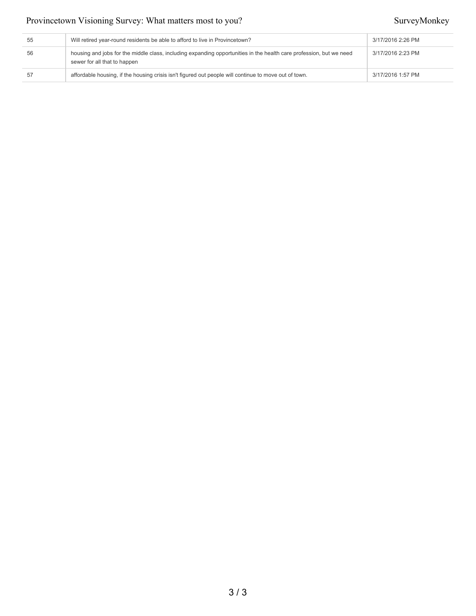| 55 | Will retired year-round residents be able to afford to live in Provincetown?                                                                        | 3/17/2016 2:26 PM |
|----|-----------------------------------------------------------------------------------------------------------------------------------------------------|-------------------|
| 56 | housing and jobs for the middle class, including expanding opportunities in the health care profession, but we need<br>sewer for all that to happen | 3/17/2016 2:23 PM |
| 57 | affordable housing, if the housing crisis isn't figured out people will continue to move out of town.                                               | 3/17/2016 1:57 PM |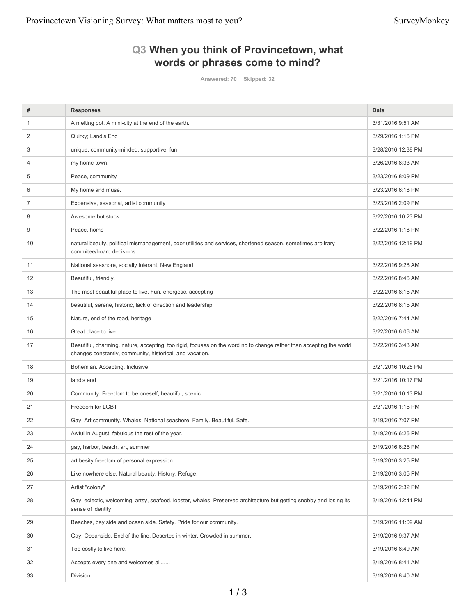## **Q3 When you think of Provincetown, what words or phrases come to mind?**

**Answered: 70 Skipped: 32**

| #  | <b>Responses</b>                                                                                                                                                                | <b>Date</b>        |
|----|---------------------------------------------------------------------------------------------------------------------------------------------------------------------------------|--------------------|
| 1  | A melting pot. A mini-city at the end of the earth.                                                                                                                             | 3/31/2016 9:51 AM  |
| 2  | Quirky; Land's End                                                                                                                                                              | 3/29/2016 1:16 PM  |
| 3  | unique, community-minded, supportive, fun                                                                                                                                       | 3/28/2016 12:38 PM |
| 4  | my home town.                                                                                                                                                                   | 3/26/2016 8:33 AM  |
| 5  | Peace, community                                                                                                                                                                | 3/23/2016 8:09 PM  |
| 6  | My home and muse.                                                                                                                                                               | 3/23/2016 6:18 PM  |
| 7  | Expensive, seasonal, artist community                                                                                                                                           | 3/23/2016 2:09 PM  |
| 8  | Awesome but stuck                                                                                                                                                               | 3/22/2016 10:23 PM |
| 9  | Peace, home                                                                                                                                                                     | 3/22/2016 1:18 PM  |
| 10 | natural beauty, political mismanagement, poor utilities and services, shortened season, sometimes arbitrary<br>commitee/board decisions                                         | 3/22/2016 12:19 PM |
| 11 | National seashore, socially tolerant, New England                                                                                                                               | 3/22/2016 9:28 AM  |
| 12 | Beautiful, friendly.                                                                                                                                                            | 3/22/2016 8:46 AM  |
| 13 | The most beautiful place to live. Fun, energetic, accepting                                                                                                                     | 3/22/2016 8:15 AM  |
| 14 | beautiful, serene, historic, lack of direction and leadership                                                                                                                   | 3/22/2016 8:15 AM  |
| 15 | Nature, end of the road, heritage                                                                                                                                               | 3/22/2016 7:44 AM  |
| 16 | Great place to live                                                                                                                                                             | 3/22/2016 6:06 AM  |
| 17 | Beautiful, charming, nature, accepting, too rigid, focuses on the word no to change rather than accepting the world<br>changes constantly, community, historical, and vacation. | 3/22/2016 3:43 AM  |
| 18 | Bohemian. Accepting. Inclusive                                                                                                                                                  | 3/21/2016 10:25 PM |
| 19 | land's end                                                                                                                                                                      | 3/21/2016 10:17 PM |
| 20 | Community, Freedom to be oneself, beautiful, scenic.                                                                                                                            | 3/21/2016 10:13 PM |
| 21 | Freedom for LGBT                                                                                                                                                                | 3/21/2016 1:15 PM  |
| 22 | Gay. Art community. Whales. National seashore. Family. Beautiful. Safe.                                                                                                         | 3/19/2016 7:07 PM  |
| 23 | Awful in August, fabulous the rest of the year.                                                                                                                                 | 3/19/2016 6:26 PM  |
| 24 | gay, harbor, beach, art, summer                                                                                                                                                 | 3/19/2016 6:25 PM  |
| 25 | art besity freedom of personal expression                                                                                                                                       | 3/19/2016 3:25 PM  |
| 26 | Like nowhere else. Natural beauty. History. Refuge.                                                                                                                             | 3/19/2016 3:05 PM  |
| 27 | Artist "colony"                                                                                                                                                                 | 3/19/2016 2:32 PM  |
| 28 | Gay, eclectic, welcoming, artsy, seafood, lobster, whales. Preserved architecture but getting snobby and losing its<br>sense of identity                                        | 3/19/2016 12:41 PM |
| 29 | Beaches, bay side and ocean side. Safety. Pride for our community.                                                                                                              | 3/19/2016 11:09 AM |
| 30 | Gay. Oceanside. End of the line. Deserted in winter. Crowded in summer.                                                                                                         | 3/19/2016 9:37 AM  |
| 31 | Too costly to live here.                                                                                                                                                        | 3/19/2016 8:49 AM  |
| 32 | Accepts every one and welcomes all                                                                                                                                              | 3/19/2016 8:41 AM  |
| 33 | Division                                                                                                                                                                        | 3/19/2016 8:40 AM  |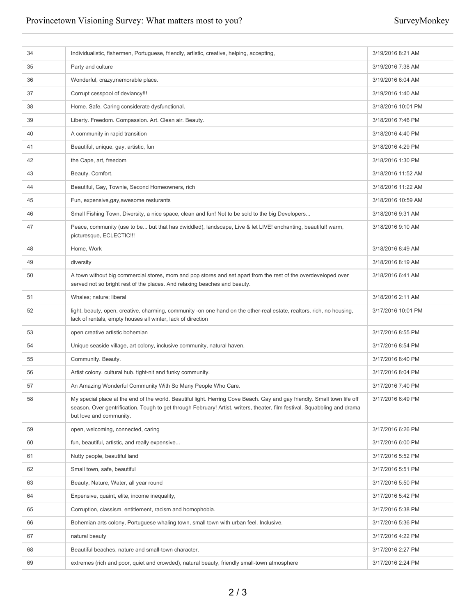| 34 | Individualistic, fishermen, Portuguese, friendly, artistic, creative, helping, accepting,                                                                                                                                                                                        | 3/19/2016 8:21 AM  |
|----|----------------------------------------------------------------------------------------------------------------------------------------------------------------------------------------------------------------------------------------------------------------------------------|--------------------|
| 35 | Party and culture                                                                                                                                                                                                                                                                | 3/19/2016 7:38 AM  |
| 36 | Wonderful, crazy, memorable place.                                                                                                                                                                                                                                               | 3/19/2016 6:04 AM  |
| 37 | Corrupt cesspool of deviancy!!!                                                                                                                                                                                                                                                  | 3/19/2016 1:40 AM  |
| 38 | Home. Safe. Caring considerate dysfunctional.                                                                                                                                                                                                                                    | 3/18/2016 10:01 PM |
| 39 | Liberty. Freedom. Compassion. Art. Clean air. Beauty.                                                                                                                                                                                                                            | 3/18/2016 7:46 PM  |
| 40 | A community in rapid transition                                                                                                                                                                                                                                                  | 3/18/2016 4:40 PM  |
| 41 | Beautiful, unique, gay, artistic, fun                                                                                                                                                                                                                                            | 3/18/2016 4:29 PM  |
| 42 | the Cape, art, freedom                                                                                                                                                                                                                                                           | 3/18/2016 1:30 PM  |
| 43 | Beauty. Comfort.                                                                                                                                                                                                                                                                 | 3/18/2016 11:52 AM |
| 44 | Beautiful, Gay, Townie, Second Homeowners, rich                                                                                                                                                                                                                                  | 3/18/2016 11:22 AM |
| 45 | Fun, expensive, gay, awesome resturants                                                                                                                                                                                                                                          | 3/18/2016 10:59 AM |
| 46 | Small Fishing Town, Diversity, a nice space, clean and fun! Not to be sold to the big Developers                                                                                                                                                                                 | 3/18/2016 9:31 AM  |
| 47 | Peace, community (use to be but that has dwiddled), landscape, Live & let LIVE! enchanting, beautiful! warm,<br>picturesque, ECLECTIC !!!                                                                                                                                        | 3/18/2016 9:10 AM  |
| 48 | Home, Work                                                                                                                                                                                                                                                                       | 3/18/2016 8:49 AM  |
| 49 | diversity                                                                                                                                                                                                                                                                        | 3/18/2016 8:19 AM  |
| 50 | A town without big commercial stores, mom and pop stores and set apart from the rest of the overdeveloped over<br>served not so bright rest of the places. And relaxing beaches and beauty.                                                                                      | 3/18/2016 6:41 AM  |
| 51 | Whales; nature; liberal                                                                                                                                                                                                                                                          | 3/18/2016 2:11 AM  |
| 52 | light, beauty, open, creative, charming, community -on one hand on the other-real estate, realtors, rich, no housing,<br>lack of rentals, empty houses all winter, lack of direction                                                                                             | 3/17/2016 10:01 PM |
| 53 | open creative artistic bohemian                                                                                                                                                                                                                                                  | 3/17/2016 8:55 PM  |
| 54 | Unique seaside village, art colony, inclusive community, natural haven.                                                                                                                                                                                                          | 3/17/2016 8:54 PM  |
| 55 | Community. Beauty.                                                                                                                                                                                                                                                               | 3/17/2016 8:40 PM  |
| 56 | Artist colony. cultural hub. tight-nit and funky community.                                                                                                                                                                                                                      | 3/17/2016 8:04 PM  |
| 57 | An Amazing Wonderful Community With So Many People Who Care.                                                                                                                                                                                                                     | 3/17/2016 7:40 PM  |
| 58 | My special place at the end of the world. Beautiful light. Herring Cove Beach. Gay and gay friendly. Small town life off<br>season. Over gentrification. Tough to get through February! Artist, writers, theater, film festival. Squabbling and drama<br>but love and community. | 3/17/2016 6:49 PM  |
| 59 | open, welcoming, connected, caring                                                                                                                                                                                                                                               | 3/17/2016 6:26 PM  |
| 60 | fun, beautiful, artistic, and really expensive                                                                                                                                                                                                                                   | 3/17/2016 6:00 PM  |
| 61 | Nutty people, beautiful land                                                                                                                                                                                                                                                     | 3/17/2016 5:52 PM  |
| 62 | Small town, safe, beautiful                                                                                                                                                                                                                                                      | 3/17/2016 5:51 PM  |
| 63 | Beauty, Nature, Water, all year round                                                                                                                                                                                                                                            | 3/17/2016 5:50 PM  |
| 64 | Expensive, quaint, elite, income inequality,                                                                                                                                                                                                                                     | 3/17/2016 5:42 PM  |
| 65 | Corruption, classism, entitlement, racism and homophobia.                                                                                                                                                                                                                        | 3/17/2016 5:38 PM  |
| 66 | Bohemian arts colony, Portuguese whaling town, small town with urban feel. Inclusive.                                                                                                                                                                                            | 3/17/2016 5:36 PM  |
| 67 | natural beauty                                                                                                                                                                                                                                                                   | 3/17/2016 4:22 PM  |
| 68 | Beautiful beaches, nature and small-town character.                                                                                                                                                                                                                              | 3/17/2016 2:27 PM  |
| 69 | extremes (rich and poor, quiet and crowded), natural beauty, friendly small-town atmosphere                                                                                                                                                                                      | 3/17/2016 2:24 PM  |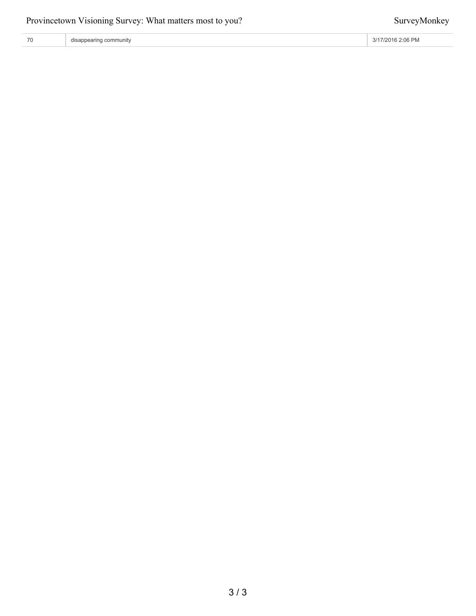| 70 | disappearing community | 3/17/2016 2:06 PM |
|----|------------------------|-------------------|
|----|------------------------|-------------------|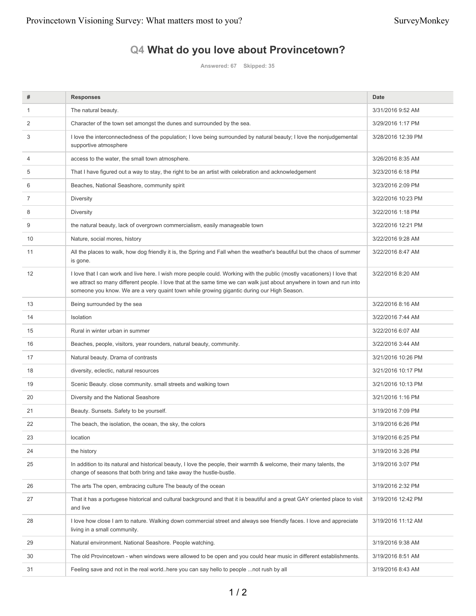# **Q4 What do you love about Provincetown?**

**Answered: 67 Skipped: 35**

| #              | <b>Responses</b>                                                                                                                                                                                                                                                                                                                                 | <b>Date</b>        |
|----------------|--------------------------------------------------------------------------------------------------------------------------------------------------------------------------------------------------------------------------------------------------------------------------------------------------------------------------------------------------|--------------------|
| 1              | The natural beauty.                                                                                                                                                                                                                                                                                                                              | 3/31/2016 9:52 AM  |
| 2              | Character of the town set amongst the dunes and surrounded by the sea.                                                                                                                                                                                                                                                                           | 3/29/2016 1:17 PM  |
| 3              | I love the interconnectedness of the population; I love being surrounded by natural beauty; I love the nonjudgemental<br>supportive atmosphere                                                                                                                                                                                                   | 3/28/2016 12:39 PM |
| 4              | access to the water, the small town atmosphere.                                                                                                                                                                                                                                                                                                  | 3/26/2016 8:35 AM  |
| 5              | That I have figured out a way to stay, the right to be an artist with celebration and acknowledgement                                                                                                                                                                                                                                            | 3/23/2016 6:18 PM  |
| 6              | Beaches, National Seashore, community spirit                                                                                                                                                                                                                                                                                                     | 3/23/2016 2:09 PM  |
| $\overline{7}$ | <b>Diversity</b>                                                                                                                                                                                                                                                                                                                                 | 3/22/2016 10:23 PM |
| 8              | <b>Diversity</b>                                                                                                                                                                                                                                                                                                                                 | 3/22/2016 1:18 PM  |
| 9              | the natural beauty, lack of overgrown commercialism, easily manageable town                                                                                                                                                                                                                                                                      | 3/22/2016 12:21 PM |
| 10             | Nature, social mores, history                                                                                                                                                                                                                                                                                                                    | 3/22/2016 9:28 AM  |
| 11             | All the places to walk, how dog friendly it is, the Spring and Fall when the weather's beautiful but the chaos of summer<br>is gone.                                                                                                                                                                                                             | 3/22/2016 8:47 AM  |
| 12             | I love that I can work and live here. I wish more people could. Working with the public (mostly vacationers) I love that<br>we attract so many different people. I love that at the same time we can walk just about anywhere in town and run into<br>someone you know. We are a very quaint town while growing gigantic during our High Season. | 3/22/2016 8:20 AM  |
| 13             | Being surrounded by the sea                                                                                                                                                                                                                                                                                                                      | 3/22/2016 8:16 AM  |
| 14             | Isolation                                                                                                                                                                                                                                                                                                                                        | 3/22/2016 7:44 AM  |
| 15             | Rural in winter urban in summer                                                                                                                                                                                                                                                                                                                  | 3/22/2016 6:07 AM  |
| 16             | Beaches, people, visitors, year rounders, natural beauty, community.                                                                                                                                                                                                                                                                             | 3/22/2016 3:44 AM  |
| 17             | Natural beauty. Drama of contrasts                                                                                                                                                                                                                                                                                                               | 3/21/2016 10:26 PM |
| 18             | diversity, eclectic, natural resources                                                                                                                                                                                                                                                                                                           | 3/21/2016 10:17 PM |
| 19             | Scenic Beauty. close community. small streets and walking town                                                                                                                                                                                                                                                                                   | 3/21/2016 10:13 PM |
| 20             | Diversity and the National Seashore                                                                                                                                                                                                                                                                                                              | 3/21/2016 1:16 PM  |
| 21             | Beauty. Sunsets. Safety to be yourself.                                                                                                                                                                                                                                                                                                          | 3/19/2016 7:09 PM  |
| 22             | The beach, the isolation, the ocean, the sky, the colors                                                                                                                                                                                                                                                                                         | 3/19/2016 6:26 PM  |
| 23             | location                                                                                                                                                                                                                                                                                                                                         | 3/19/2016 6:25 PM  |
| 24             | the history                                                                                                                                                                                                                                                                                                                                      | 3/19/2016 3:26 PM  |
| 25             | In addition to its natural and historical beauty, I love the people, their warmth & welcome, their many talents, the<br>change of seasons that both bring and take away the hustle-bustle.                                                                                                                                                       | 3/19/2016 3:07 PM  |
| 26             | The arts The open, embracing culture The beauty of the ocean                                                                                                                                                                                                                                                                                     | 3/19/2016 2:32 PM  |
| 27             | That it has a portugese historical and cultural background and that it is beautiful and a great GAY oriented place to visit<br>and live                                                                                                                                                                                                          | 3/19/2016 12:42 PM |
| 28             | I love how close I am to nature. Walking down commercial street and always see friendly faces. I love and appreciate<br>living in a small community.                                                                                                                                                                                             | 3/19/2016 11:12 AM |
| 29             | Natural environment. National Seashore. People watching.                                                                                                                                                                                                                                                                                         | 3/19/2016 9:38 AM  |
| 30             | The old Provincetown - when windows were allowed to be open and you could hear music in different establishments.                                                                                                                                                                                                                                | 3/19/2016 8:51 AM  |
| 31             | Feeling save and not in the real world. here you can say hello to people  not rush by all                                                                                                                                                                                                                                                        | 3/19/2016 8:43 AM  |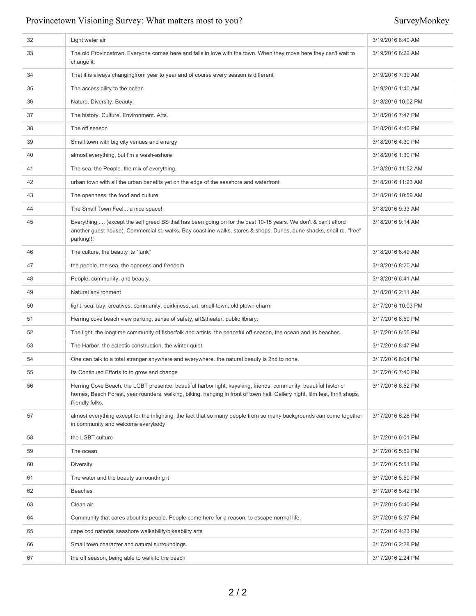| 32 | Light water air                                                                                                                                                                                                                                                   | 3/19/2016 8:40 AM  |
|----|-------------------------------------------------------------------------------------------------------------------------------------------------------------------------------------------------------------------------------------------------------------------|--------------------|
| 33 | The old Provincetown. Everyone comes here and falls in love with the town. When they move here they can't wait to<br>change it.                                                                                                                                   | 3/19/2016 8:22 AM  |
| 34 | That it is always changingfrom year to year and of course every season is different                                                                                                                                                                               | 3/19/2016 7:39 AM  |
| 35 | The accessibility to the ocean                                                                                                                                                                                                                                    | 3/19/2016 1:40 AM  |
| 36 | Nature. Diversity. Beauty.                                                                                                                                                                                                                                        | 3/18/2016 10:02 PM |
| 37 | The history. Culture. Environment. Arts.                                                                                                                                                                                                                          | 3/18/2016 7:47 PM  |
| 38 | The off season                                                                                                                                                                                                                                                    | 3/18/2016 4:40 PM  |
| 39 | Small town with big city venues and energy                                                                                                                                                                                                                        | 3/18/2016 4:30 PM  |
| 40 | almost everything, but I'm a wash-ashore                                                                                                                                                                                                                          | 3/18/2016 1:30 PM  |
| 41 | The sea. the People. the mix of everything.                                                                                                                                                                                                                       | 3/18/2016 11:52 AM |
| 42 | urban town with all the urban benefits yet on the edge of the seashore and waterfront                                                                                                                                                                             | 3/18/2016 11:23 AM |
| 43 | The openness, the food and culture                                                                                                                                                                                                                                | 3/18/2016 10:59 AM |
| 44 | The Small Town Feel a nice space!                                                                                                                                                                                                                                 | 3/18/2016 9:33 AM  |
| 45 | Everything (except the self greed BS that has been going on for the past 10-15 years. We don't & can't afford<br>another guest house). Commercial st. walks, Bay coastline walks, stores & shops, Dunes, dune shacks, snail rd. "free"<br>parking!!!              | 3/18/2016 9:14 AM  |
| 46 | The culture, the beauty its "funk"                                                                                                                                                                                                                                | 3/18/2016 8:49 AM  |
| 47 | the people, the sea, the openess and freedom                                                                                                                                                                                                                      | 3/18/2016 8:20 AM  |
| 48 | People, community, and beauty.                                                                                                                                                                                                                                    | 3/18/2016 6:41 AM  |
| 49 | Natural environment                                                                                                                                                                                                                                               | 3/18/2016 2:11 AM  |
| 50 | light, sea, bay, creatives, community, quirkiness, art, small-town, old ptown charm                                                                                                                                                                               | 3/17/2016 10:03 PM |
| 51 | Herring cove beach view parking, sense of safety, art&theater, public library.                                                                                                                                                                                    | 3/17/2016 8:59 PM  |
| 52 | The light, the longtime community of fisherfolk and artists, the peaceful off-season, the ocean and its beaches.                                                                                                                                                  | 3/17/2016 8:55 PM  |
| 53 | The Harbor, the eclectic construction, the winter quiet.                                                                                                                                                                                                          | 3/17/2016 8:47 PM  |
| 54 | One can talk to a total stranger anywhere and everywhere, the natural beauty is 2nd to none.                                                                                                                                                                      | 3/17/2016 8:04 PM  |
| 55 | Its Continued Efforts to to grow and change                                                                                                                                                                                                                       | 3/17/2016 7:40 PM  |
| 56 | Herring Cove Beach, the LGBT presence, beautiful harbor light, kayaking, friends, community, beautiful historic<br>homes, Beech Forest, year rounders, walking, biking, hanging in front of town hall. Gallery night, film fest, thrift shops,<br>friendly folks. | 3/17/2016 6:52 PM  |
| 57 | almost everything except for the infighting, the fact that so many people from so many backgrounds can come together<br>in community and welcome everybody                                                                                                        | 3/17/2016 6:26 PM  |
| 58 | the LGBT culture                                                                                                                                                                                                                                                  | 3/17/2016 6:01 PM  |
| 59 | The ocean                                                                                                                                                                                                                                                         | 3/17/2016 5:52 PM  |
| 60 | <b>Diversity</b>                                                                                                                                                                                                                                                  | 3/17/2016 5:51 PM  |
| 61 | The water and the beauty surrounding it                                                                                                                                                                                                                           | 3/17/2016 5:50 PM  |
| 62 | Beaches                                                                                                                                                                                                                                                           | 3/17/2016 5:42 PM  |
| 63 | Clean air.                                                                                                                                                                                                                                                        | 3/17/2016 5:40 PM  |
| 64 | Community that cares about its people. People come here for a reason, to escape normal life.                                                                                                                                                                      | 3/17/2016 5:37 PM  |
| 65 | cape cod national seashore walkability/bikeability arts                                                                                                                                                                                                           | 3/17/2016 4:23 PM  |
| 66 | Small town character and natural surroundings.                                                                                                                                                                                                                    | 3/17/2016 2:28 PM  |
| 67 | the off season, being able to walk to the beach                                                                                                                                                                                                                   | 3/17/2016 2:24 PM  |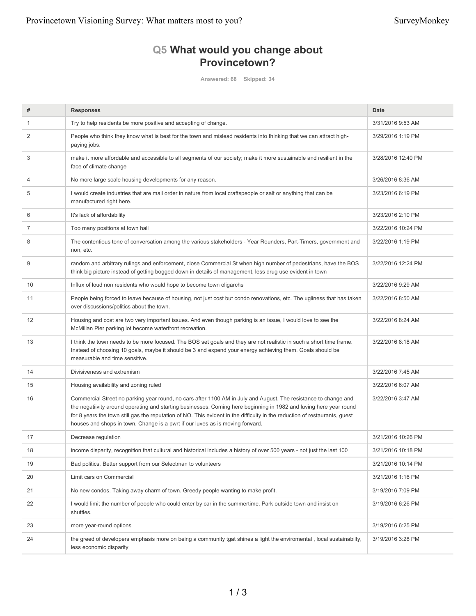## **Q5 What would you change about Provincetown?**

**Answered: 68 Skipped: 34**

| #  | <b>Responses</b>                                                                                                                                                                                                                                                                                                                                                                                                                                     | Date               |
|----|------------------------------------------------------------------------------------------------------------------------------------------------------------------------------------------------------------------------------------------------------------------------------------------------------------------------------------------------------------------------------------------------------------------------------------------------------|--------------------|
|    | Try to help residents be more positive and accepting of change.                                                                                                                                                                                                                                                                                                                                                                                      | 3/31/2016 9:53 AM  |
| 2  | People who think they know what is best for the town and mislead residents into thinking that we can attract high-<br>paying jobs.                                                                                                                                                                                                                                                                                                                   | 3/29/2016 1:19 PM  |
| 3  | make it more affordable and accessible to all segments of our society; make it more sustainable and resilient in the<br>face of climate change                                                                                                                                                                                                                                                                                                       | 3/28/2016 12:40 PM |
| 4  | No more large scale housing developments for any reason.                                                                                                                                                                                                                                                                                                                                                                                             | 3/26/2016 8:36 AM  |
| 5  | I would create industries that are mail order in nature from local craftspeople or salt or anything that can be<br>manufactured right here.                                                                                                                                                                                                                                                                                                          | 3/23/2016 6:19 PM  |
| 6  | It's lack of affordability                                                                                                                                                                                                                                                                                                                                                                                                                           | 3/23/2016 2:10 PM  |
| 7  | Too many positions at town hall                                                                                                                                                                                                                                                                                                                                                                                                                      | 3/22/2016 10:24 PM |
| 8  | The contentious tone of conversation among the various stakeholders - Year Rounders, Part-Timers, government and<br>non, etc.                                                                                                                                                                                                                                                                                                                        | 3/22/2016 1:19 PM  |
| 9  | random and arbitrary rulings and enforcement, close Commercial St when high number of pedestrians, have the BOS<br>think big picture instead of getting bogged down in details of management, less drug use evident in town                                                                                                                                                                                                                          | 3/22/2016 12:24 PM |
| 10 | Influx of loud non residents who would hope to become town oligarchs                                                                                                                                                                                                                                                                                                                                                                                 | 3/22/2016 9:29 AM  |
| 11 | People being forced to leave because of housing, not just cost but condo renovations, etc. The ugliness that has taken<br>over discussions/politics about the town.                                                                                                                                                                                                                                                                                  | 3/22/2016 8:50 AM  |
| 12 | Housing and cost are two very important issues. And even though parking is an issue, I would love to see the<br>McMillan Pier parking lot become waterfront recreation.                                                                                                                                                                                                                                                                              | 3/22/2016 8:24 AM  |
| 13 | I think the town needs to be more focused. The BOS set goals and they are not realistic in such a short time frame.<br>Instead of choosing 10 goals, maybe it should be 3 and expend your energy achieving them. Goals should be<br>measurable and time sensitive.                                                                                                                                                                                   | 3/22/2016 8:18 AM  |
| 14 | Divisiveness and extremism                                                                                                                                                                                                                                                                                                                                                                                                                           | 3/22/2016 7:45 AM  |
| 15 | Housing availability and zoning ruled                                                                                                                                                                                                                                                                                                                                                                                                                | 3/22/2016 6:07 AM  |
| 16 | Commercial Street no parking year round, no cars after 1100 AM in July and August. The resistance to change and<br>the negatiivity around operating and starting businesses. Coming here beginning in 1982 and luving here year round<br>for 8 years the town still gas the reputation of NO. This evident in the difficulty in the reduction of restaurants, guest<br>houses and shops in town. Change is a pwrt if our luves as is moving forward. | 3/22/2016 3:47 AM  |
| 17 | Decrease regulation                                                                                                                                                                                                                                                                                                                                                                                                                                  | 3/21/2016 10:26 PM |
| 18 | income disparity, recognition that cultural and historical includes a history of over 500 years - not just the last 100                                                                                                                                                                                                                                                                                                                              | 3/21/2016 10:18 PM |
| 19 | Bad politics. Better support from our Selectman to volunteers                                                                                                                                                                                                                                                                                                                                                                                        | 3/21/2016 10:14 PM |
| 20 | Limit cars on Commercial                                                                                                                                                                                                                                                                                                                                                                                                                             | 3/21/2016 1:16 PM  |
| 21 | No new condos. Taking away charm of town. Greedy people wanting to make profit.                                                                                                                                                                                                                                                                                                                                                                      | 3/19/2016 7:09 PM  |
| 22 | I would limit the number of people who could enter by car in the summertime. Park outside town and insist on<br>shuttles.                                                                                                                                                                                                                                                                                                                            | 3/19/2016 6:26 PM  |
| 23 | more year-round options                                                                                                                                                                                                                                                                                                                                                                                                                              | 3/19/2016 6:25 PM  |
| 24 | the greed of developers emphasis more on being a community tgat shines a light the enviromental, local sustainabilty,<br>less economic disparity                                                                                                                                                                                                                                                                                                     | 3/19/2016 3:28 PM  |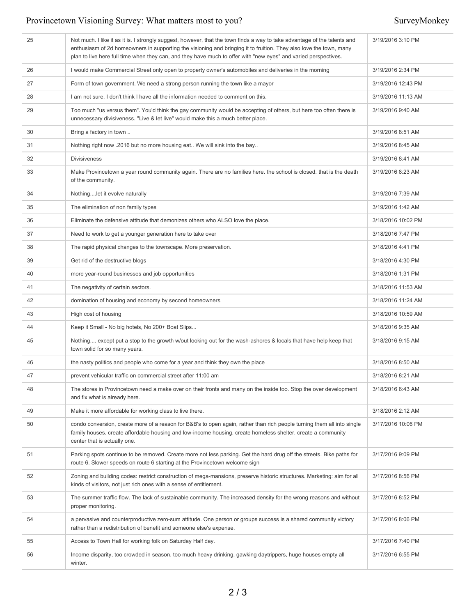| 25 | Not much. I like it as it is. I strongly suggest, however, that the town finds a way to take advantage of the talents and<br>enthusiasm of 2d homeowners in supporting the visioning and bringing it to fruition. They also love the town, many<br>plan to live here full time when they can, and they have much to offer with "new eyes" and varied perspectives. | 3/19/2016 3:10 PM  |
|----|--------------------------------------------------------------------------------------------------------------------------------------------------------------------------------------------------------------------------------------------------------------------------------------------------------------------------------------------------------------------|--------------------|
| 26 | I would make Commercial Street only open to property owner's automobiles and deliveries in the morning                                                                                                                                                                                                                                                             | 3/19/2016 2:34 PM  |
| 27 | Form of town government. We need a strong person running the town like a mayor                                                                                                                                                                                                                                                                                     | 3/19/2016 12:43 PM |
| 28 | I am not sure. I don't think I have all the information needed to comment on this.                                                                                                                                                                                                                                                                                 | 3/19/2016 11:13 AM |
| 29 | Too much "us versus them". You'd think the gay community would be accepting of others, but here too often there is<br>unnecessary divisiveness. "Live & let live" would make this a much better place.                                                                                                                                                             | 3/19/2016 9:40 AM  |
| 30 | Bring a factory in town                                                                                                                                                                                                                                                                                                                                            | 3/19/2016 8:51 AM  |
| 31 | Nothing right now .2016 but no more housing eat We will sink into the bay                                                                                                                                                                                                                                                                                          | 3/19/2016 8:45 AM  |
| 32 | <b>Divisiveness</b>                                                                                                                                                                                                                                                                                                                                                | 3/19/2016 8:41 AM  |
| 33 | Make Provincetown a year round community again. There are no families here, the school is closed, that is the death<br>of the community.                                                                                                                                                                                                                           | 3/19/2016 8:23 AM  |
| 34 | Nothinglet it evolve naturally                                                                                                                                                                                                                                                                                                                                     | 3/19/2016 7:39 AM  |
| 35 | The elimination of non family types                                                                                                                                                                                                                                                                                                                                | 3/19/2016 1:42 AM  |
| 36 | Eliminate the defensive attitude that demonizes others who ALSO love the place.                                                                                                                                                                                                                                                                                    | 3/18/2016 10:02 PM |
| 37 | Need to work to get a younger generation here to take over                                                                                                                                                                                                                                                                                                         | 3/18/2016 7:47 PM  |
| 38 | The rapid physical changes to the townscape. More preservation.                                                                                                                                                                                                                                                                                                    | 3/18/2016 4:41 PM  |
| 39 | Get rid of the destructive blogs                                                                                                                                                                                                                                                                                                                                   | 3/18/2016 4:30 PM  |
| 40 | more year-round businesses and job opportunities                                                                                                                                                                                                                                                                                                                   | 3/18/2016 1:31 PM  |
| 41 | The negativity of certain sectors.                                                                                                                                                                                                                                                                                                                                 | 3/18/2016 11:53 AM |
| 42 | domination of housing and economy by second homeowners                                                                                                                                                                                                                                                                                                             | 3/18/2016 11:24 AM |
| 43 | High cost of housing                                                                                                                                                                                                                                                                                                                                               | 3/18/2016 10:59 AM |
| 44 | Keep it Small - No big hotels, No 200+ Boat Slips                                                                                                                                                                                                                                                                                                                  | 3/18/2016 9:35 AM  |
| 45 | Nothing except put a stop to the growth w/out looking out for the wash-ashores & locals that have help keep that<br>town solid for so many years.                                                                                                                                                                                                                  | 3/18/2016 9:15 AM  |
| 46 | the nasty politics and people who come for a year and think they own the place                                                                                                                                                                                                                                                                                     | 3/18/2016 8:50 AM  |
| 47 | prevent vehicular traffic on commercial street after 11:00 am                                                                                                                                                                                                                                                                                                      | 3/18/2016 8:21 AM  |
| 48 | The stores in Provincetown need a make over on their fronts and many on the inside too. Stop the over development<br>and fix what is already here.                                                                                                                                                                                                                 | 3/18/2016 6:43 AM  |
| 49 | Make it more affordable for working class to live there.                                                                                                                                                                                                                                                                                                           | 3/18/2016 2:12 AM  |
| 50 | condo conversion, create more of a reason for B&B's to open again, rather than rich people turning them all into single<br>family houses. create affordable housing and low-income housing. create homeless shelter. create a community<br>center that is actually one.                                                                                            | 3/17/2016 10:06 PM |
| 51 | Parking spots continue to be removed. Create more not less parking. Get the hard drug off the streets. Bike paths for<br>route 6. Slower speeds on route 6 starting at the Provincetown welcome sign                                                                                                                                                               | 3/17/2016 9:09 PM  |
| 52 | Zoning and building codes: restrict construction of mega-mansions, preserve historic structures. Marketing: aim for all<br>kinds of visitors, not just rich ones with a sense of entitlement.                                                                                                                                                                      | 3/17/2016 8:56 PM  |
| 53 | The summer traffic flow. The lack of sustainable community. The increased density for the wrong reasons and without<br>proper monitoring.                                                                                                                                                                                                                          | 3/17/2016 8:52 PM  |
| 54 | a pervasive and counterproductive zero-sum attitude. One person or groups success is a shared community victory<br>rather than a redistribution of benefit and someone else's expense.                                                                                                                                                                             | 3/17/2016 8:06 PM  |
| 55 | Access to Town Hall for working folk on Saturday Half day.                                                                                                                                                                                                                                                                                                         | 3/17/2016 7:40 PM  |
| 56 | Income disparity, too crowded in season, too much heavy drinking, gawking daytrippers, huge houses empty all<br>winter.                                                                                                                                                                                                                                            | 3/17/2016 6:55 PM  |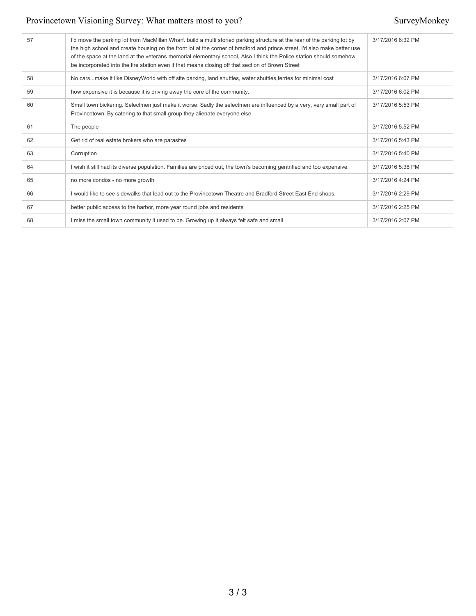| 57 | I'd move the parking lot from MacMillan Wharf, build a multi storied parking structure at the rear of the parking lot by<br>the high school and create housing on the front lot at the corner of bradford and prince street. I'd also make better use<br>of the space at the land at the veterans memorial elementary school, Also I think the Police station should somehow<br>be incorporated into the fire station even if that means closing off that section of Brown Street | 3/17/2016 6:32 PM |
|----|-----------------------------------------------------------------------------------------------------------------------------------------------------------------------------------------------------------------------------------------------------------------------------------------------------------------------------------------------------------------------------------------------------------------------------------------------------------------------------------|-------------------|
| 58 | No carsmake it like DisneyWorld with off site parking, land shuttles, water shuttles, ferries for minimal cost                                                                                                                                                                                                                                                                                                                                                                    | 3/17/2016 6:07 PM |
| 59 | how expensive it is because it is driving away the core of the community.                                                                                                                                                                                                                                                                                                                                                                                                         | 3/17/2016 6:02 PM |
| 60 | Small town bickering. Selectmen just make it worse. Sadly the selectmen are influenced by a very, very small part of<br>Provincetown. By catering to that small group they alienate everyone else.                                                                                                                                                                                                                                                                                | 3/17/2016 5:53 PM |
| 61 | The people                                                                                                                                                                                                                                                                                                                                                                                                                                                                        | 3/17/2016 5:52 PM |
| 62 | Get rid of real estate brokers who are parasites                                                                                                                                                                                                                                                                                                                                                                                                                                  | 3/17/2016 5:43 PM |
| 63 | Corruption                                                                                                                                                                                                                                                                                                                                                                                                                                                                        | 3/17/2016 5:40 PM |
| 64 | I wish it still had its diverse population. Families are priced out, the town's becoming gentrified and too expensive.                                                                                                                                                                                                                                                                                                                                                            | 3/17/2016 5:38 PM |
| 65 | no more condos - no more growth                                                                                                                                                                                                                                                                                                                                                                                                                                                   | 3/17/2016 4:24 PM |
| 66 | I would like to see sidewalks that lead out to the Provincetown Theatre and Bradford Street East End shops.                                                                                                                                                                                                                                                                                                                                                                       | 3/17/2016 2:29 PM |
| 67 | better public access to the harbor, more year round jobs and residents                                                                                                                                                                                                                                                                                                                                                                                                            | 3/17/2016 2:25 PM |
| 68 | I miss the small town community it used to be. Growing up it always felt safe and small                                                                                                                                                                                                                                                                                                                                                                                           | 3/17/2016 2:07 PM |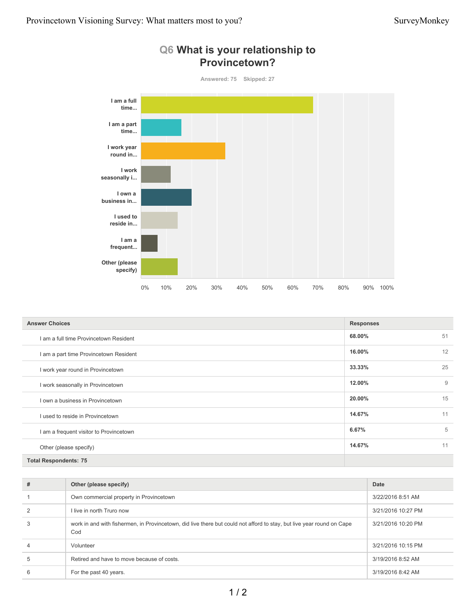

| <b>Answer Choices</b>                   | <b>Responses</b> |    |
|-----------------------------------------|------------------|----|
| I am a full time Provincetown Resident  | 68.00%           | 51 |
| I am a part time Provincetown Resident  | 16.00%           | 12 |
| I work year round in Provincetown       | 33.33%           | 25 |
| I work seasonally in Provincetown       | 12.00%           | 9  |
| I own a business in Provincetown        | 20.00%           | 15 |
| I used to reside in Provincetown        | 14.67%           | 11 |
| I am a frequent visitor to Provincetown | 6.67%            | 5  |
| Other (please specify)                  | 14.67%           | 11 |
| <b>Total Respondents: 75</b>            |                  |    |

| # | Other (please specify)                                                                                                       | Date               |
|---|------------------------------------------------------------------------------------------------------------------------------|--------------------|
|   | Own commercial property in Provincetown                                                                                      | 3/22/2016 8:51 AM  |
|   | I live in north Truro now                                                                                                    | 3/21/2016 10:27 PM |
| 3 | work in and with fishermen, in Provincetown, did live there but could not afford to stay, but live year round on Cape<br>Cod | 3/21/2016 10:20 PM |
|   | Volunteer                                                                                                                    | 3/21/2016 10:15 PM |
| 5 | Retired and have to move because of costs.                                                                                   | 3/19/2016 8:52 AM  |
| 6 | For the past 40 years.                                                                                                       | 3/19/2016 8:42 AM  |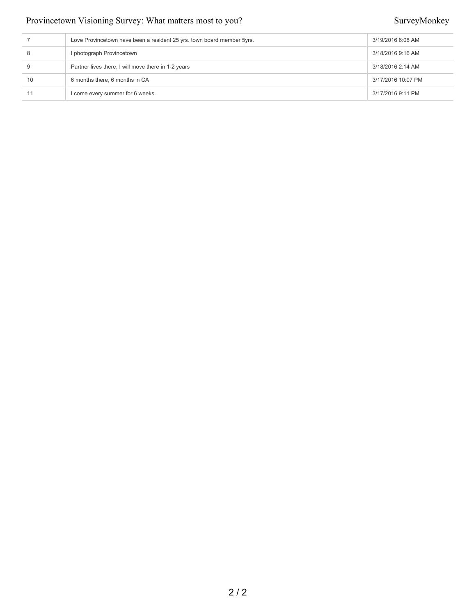|    | Love Provincetown have been a resident 25 yrs. town board member 5yrs. | 3/19/2016 6:08 AM  |
|----|------------------------------------------------------------------------|--------------------|
|    | I photograph Provincetown                                              | 3/18/2016 9:16 AM  |
|    | Partner lives there, I will move there in 1-2 years                    | 3/18/2016 2:14 AM  |
| 10 | 6 months there, 6 months in CA                                         | 3/17/2016 10:07 PM |
|    | I come every summer for 6 weeks.                                       | 3/17/2016 9:11 PM  |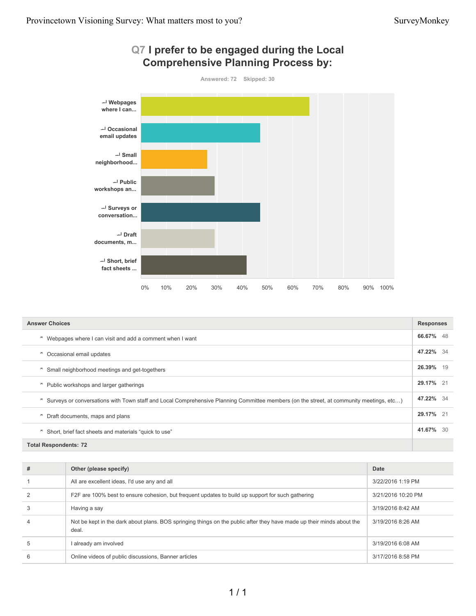

| <b>Answer Choices</b>                                                                                                                     |           |
|-------------------------------------------------------------------------------------------------------------------------------------------|-----------|
| Webpages where I can visit and add a comment when I want<br>ᄎ                                                                             | 66.67% 48 |
| Occasional email updates<br>ᄎ                                                                                                             | 47.22% 34 |
| Small neighborhood meetings and get-togethers<br>ᄎ                                                                                        | 26.39% 19 |
| Public workshops and larger gatherings<br>ᄎ                                                                                               | 29.17% 21 |
| ₹ Surveys or conversations with Town staff and Local Comprehensive Planning Committee members (on the street, at community meetings, etc) | 47.22% 34 |
| Draft documents, maps and plans<br>ᄎ                                                                                                      | 29.17% 21 |
| Short, brief fact sheets and materials "quick to use"<br>ᄎ                                                                                | 41.67% 30 |
| <b>Total Respondents: 72</b>                                                                                                              |           |

| # | Other (please specify)                                                                                                         | Date               |
|---|--------------------------------------------------------------------------------------------------------------------------------|--------------------|
|   | All are excellent ideas, I'd use any and all                                                                                   | 3/22/2016 1:19 PM  |
|   | F2F are 100% best to ensure cohesion, but frequent updates to build up support for such gathering                              | 3/21/2016 10:20 PM |
|   | Having a say                                                                                                                   | 3/19/2016 8:42 AM  |
|   | Not be kept in the dark about plans. BOS springing things on the public after they have made up their minds about the<br>deal. | 3/19/2016 8:26 AM  |
| 5 | l already am involved                                                                                                          | 3/19/2016 6:08 AM  |
| 6 | Online videos of public discussions, Banner articles                                                                           | 3/17/2016 8:58 PM  |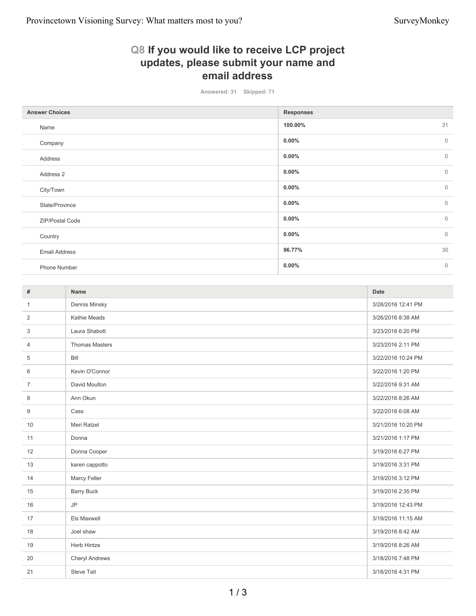## **Q8 If you would like to receive LCP project updates, please submit your name and email address**

**Answered: 31 Skipped: 71**

| <b>Answer Choices</b> | <b>Responses</b>         |
|-----------------------|--------------------------|
| Name                  | 31<br>100.00%            |
| Company               | $\mathbf{0}$<br>$0.00\%$ |
| Address               | $\mathbf 0$<br>$0.00\%$  |
| Address 2             | $\mathbf{0}$<br>$0.00\%$ |
| City/Town             | $\mathbf 0$<br>$0.00\%$  |
| State/Province        | $\mathbf{0}$<br>$0.00\%$ |
| ZIP/Postal Code       | $0.00\%$<br>$\mathbf 0$  |
| Country               | $\mathbf{0}$<br>$0.00\%$ |
| <b>Email Address</b>  | 30<br>96.77%             |
| Phone Number          | $0.00\%$<br>$\mathbf 0$  |

| #              | Name                  | Date               |
|----------------|-----------------------|--------------------|
| 1              | Dennis Minsky         | 3/28/2016 12:41 PM |
| 2              | Kathie Meads          | 3/26/2016 8:38 AM  |
| 3              | Laura Shabott         | 3/23/2016 6:20 PM  |
| $\overline{4}$ | <b>Thomas Masters</b> | 3/23/2016 2:11 PM  |
| 5              | Bill                  | 3/22/2016 10:24 PM |
| 6              | Kevin O'Connor        | 3/22/2016 1:20 PM  |
| $\overline{7}$ | David Moulton         | 3/22/2016 9:31 AM  |
| 8              | Ann Okun              | 3/22/2016 8:26 AM  |
| 9              | Cass                  | 3/22/2016 6:08 AM  |
| 10             | Meri Ratzel           | 3/21/2016 10:20 PM |
| 11             | Donna                 | 3/21/2016 1:17 PM  |
| 12             | Donna Cooper          | 3/19/2016 6:27 PM  |
| 13             | karen cappotto        | 3/19/2016 3:31 PM  |
| 14             | Marcy Feller          | 3/19/2016 3:12 PM  |
| 15             | <b>Barry Buck</b>     | 3/19/2016 2:35 PM  |
| 16             | <b>JP</b>             | 3/19/2016 12:43 PM |
| 17             | Els Maxwell           | 3/19/2016 11:15 AM |
| 18             | Joel shaw             | 3/19/2016 8:42 AM  |
| 19             | <b>Herb Hintze</b>    | 3/19/2016 8:26 AM  |
| 20             | <b>Cheryl Andrews</b> | 3/18/2016 7:48 PM  |
| 21             | <b>Steve Tait</b>     | 3/18/2016 4:31 PM  |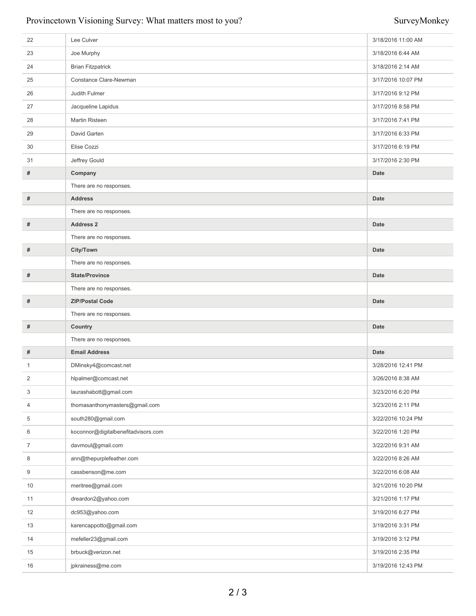| 22             | Lee Culver                          | 3/18/2016 11:00 AM |
|----------------|-------------------------------------|--------------------|
| 23             | Joe Murphy                          | 3/18/2016 6:44 AM  |
| 24             | <b>Brian Fitzpatrick</b>            | 3/18/2016 2:14 AM  |
| 25             | Constance Clare-Newman              | 3/17/2016 10:07 PM |
| 26             | Judith Fulmer                       | 3/17/2016 9:12 PM  |
| 27             | Jacqueline Lapidus                  | 3/17/2016 8:58 PM  |
| 28             | <b>Martin Risteen</b>               | 3/17/2016 7:41 PM  |
| 29             | David Garten                        | 3/17/2016 6:33 PM  |
| 30             | Elise Cozzi                         | 3/17/2016 6:19 PM  |
| 31             | Jeffrey Gould                       | 3/17/2016 2:30 PM  |
| #              | Company                             | <b>Date</b>        |
|                | There are no responses.             |                    |
| #              | <b>Address</b>                      | <b>Date</b>        |
|                | There are no responses.             |                    |
| #              | <b>Address 2</b>                    | <b>Date</b>        |
|                | There are no responses.             |                    |
| #              | City/Town                           | <b>Date</b>        |
|                | There are no responses.             |                    |
| #              | <b>State/Province</b>               | <b>Date</b>        |
|                | There are no responses.             |                    |
| #              | <b>ZIP/Postal Code</b>              | <b>Date</b>        |
|                | There are no responses.             |                    |
| #              | Country                             | <b>Date</b>        |
|                | There are no responses.             |                    |
| #              | <b>Email Address</b>                | <b>Date</b>        |
| $\mathbf{1}$   | DMinsky4@comcast.net                | 3/28/2016 12:41 PM |
| 2              | hlpalmer@comcast.net                | 3/26/2016 8:38 AM  |
| 3              | laurashabott@gmail.com              | 3/23/2016 6:20 PM  |
| 4              | thomasanthonymasters@gmail.com      | 3/23/2016 2:11 PM  |
| 5              | south280@gmail.com                  | 3/22/2016 10:24 PM |
| 6              | koconnor@digitalbenefitadvisors.com | 3/22/2016 1:20 PM  |
| $\overline{7}$ | davmoul@gmail.com                   | 3/22/2016 9:31 AM  |
| 8              | ann@thepurplefeather.com            | 3/22/2016 8:26 AM  |
| 9              | cassbenson@me.com                   | 3/22/2016 6:08 AM  |
| 10             | meritree@gmail.com                  | 3/21/2016 10:20 PM |
| 11             | dreardon2@yahoo.com                 | 3/21/2016 1:17 PM  |
| 12             | dc953@yahoo.com                     | 3/19/2016 6:27 PM  |
| 13             | karencappotto@gmail.com             | 3/19/2016 3:31 PM  |
| 14             | mefeller23@gmail.com                | 3/19/2016 3:12 PM  |
| 15             |                                     |                    |
|                | brbuck@verizon.net                  | 3/19/2016 2:35 PM  |